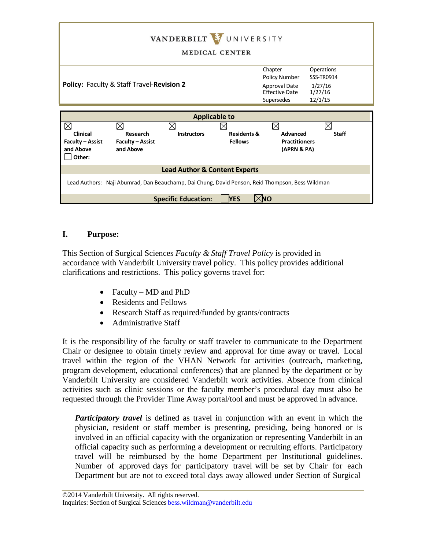| VANDERBILT VUNIVERSITY<br><b>MEDICAL CENTER</b>                                                 |                                      |                         |                        |                                                                                  |                                                                  |
|-------------------------------------------------------------------------------------------------|--------------------------------------|-------------------------|------------------------|----------------------------------------------------------------------------------|------------------------------------------------------------------|
| Policy: Faculty & Staff Travel-Revision 2                                                       |                                      |                         |                        | Chapter<br>Policy Number<br>Approval Date<br><b>Effective Date</b><br>Supersedes | Operations<br><b>SSS-TR0914</b><br>1/27/16<br>1/27/16<br>12/1/15 |
| <b>Applicable to</b>                                                                            |                                      |                         |                        |                                                                                  |                                                                  |
|                                                                                                 |                                      |                         |                        |                                                                                  |                                                                  |
| M<br><b>Clinical</b>                                                                            | X<br>Research                        | M<br><b>Instructors</b> | <b>Residents &amp;</b> | ⊠<br>Advanced                                                                    | ⋉<br><b>Staff</b>                                                |
| <b>Faculty - Assist</b><br>and Above<br>Other:                                                  | <b>Faculty - Assist</b><br>and Above |                         | <b>Fellows</b>         | <b>Practitioners</b><br>(APRN & PA)                                              |                                                                  |
| <b>Lead Author &amp; Content Experts</b>                                                        |                                      |                         |                        |                                                                                  |                                                                  |
| Lead Authors: Naji Abumrad, Dan Beauchamp, Dai Chung, David Penson, Reid Thompson, Bess Wildman |                                      |                         |                        |                                                                                  |                                                                  |
| <b>NES</b><br><b>Specific Education:</b><br>(NO                                                 |                                      |                         |                        |                                                                                  |                                                                  |

# **I. Purpose:**

This Section of Surgical Sciences *Faculty & Staff Travel Policy* is provided in accordance with Vanderbilt University travel policy. This policy provides additional clarifications and restrictions. This policy governs travel for:

- Faculty MD and PhD
- Residents and Fellows
- Research Staff as required/funded by grants/contracts
- Administrative Staff

It is the responsibility of the faculty or staff traveler to communicate to the Department Chair or designee to obtain timely review and approval for time away or travel. Local travel within the region of the VHAN Network for activities (outreach, marketing, program development, educational conferences) that are planned by the department or by Vanderbilt University are considered Vanderbilt work activities. Absence from clinical activities such as clinic sessions or the faculty member's procedural day must also be requested through the Provider Time Away portal/tool and must be approved in advance.

*Participatory travel* is defined as travel in conjunction with an event in which the physician, resident or staff member is presenting, presiding, being honored or is involved in an official capacity with the organization or representing Vanderbilt in an official capacity such as performing a development or recruiting efforts. Participatory travel will be reimbursed by the home Department per Institutional guidelines. Number of approved days for participatory travel will be set by Chair for each Department but are not to exceed total days away allowed under Section of Surgical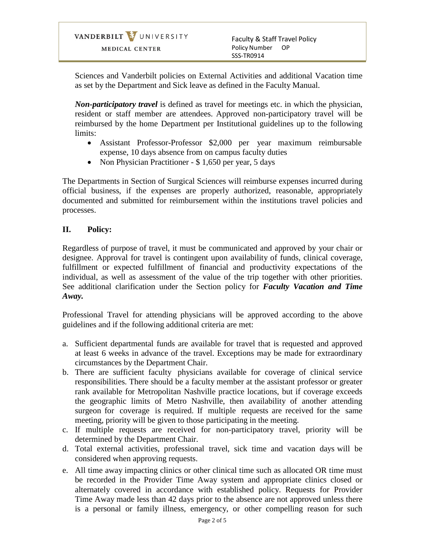VANDERBILT VUNIVERSITY MEDICAL CENTER

Faculty & Staff Travel Policy Policy Number OP SSS-TR0914

Sciences and Vanderbilt policies on External Activities and additional Vacation time as set by the Department and Sick leave as defined in the Faculty Manual.

*Non-participatory travel* is defined as travel for meetings etc. in which the physician, resident or staff member are attendees. Approved non-participatory travel will be reimbursed by the home Department per Institutional guidelines up to the following limits:

- Assistant Professor-Professor \$2,000 per year maximum reimbursable expense, 10 days absence from on campus faculty duties
- Non Physician Practitioner \$ 1,650 per year, 5 days

The Departments in Section of Surgical Sciences will reimburse expenses incurred during official business, if the expenses are properly authorized, reasonable, appropriately documented and submitted for reimbursement within the institutions travel policies and processes.

## **II. Policy:**

Regardless of purpose of travel, it must be communicated and approved by your chair or designee. Approval for travel is contingent upon availability of funds, clinical coverage, fulfillment or expected fulfillment of financial and productivity expectations of the individual, as well as assessment of the value of the trip together with other priorities. See additional clarification under the Section policy for *Faculty Vacation and Time Away.*

Professional Travel for attending physicians will be approved according to the above guidelines and if the following additional criteria are met:

- a. Sufficient departmental funds are available for travel that is requested and approved at least 6 weeks in advance of the travel. Exceptions may be made for extraordinary circumstances by the Department Chair.
- b. There are sufficient faculty physicians available for coverage of clinical service responsibilities. There should be a faculty member at the assistant professor or greater rank available for Metropolitan Nashville practice locations, but if coverage exceeds the geographic limits of Metro Nashville, then availability of another attending surgeon for coverage is required. If multiple requests are received for the same meeting, priority will be given to those participating in the meeting.
- c. If multiple requests are received for non-participatory travel, priority will be determined by the Department Chair.
- d. Total external activities, professional travel, sick time and vacation days will be considered when approving requests.
- e. All time away impacting clinics or other clinical time such as allocated OR time must be recorded in the Provider Time Away system and appropriate clinics closed or alternately covered in accordance with established policy. Requests for Provider Time Away made less than 42 days prior to the absence are not approved unless there is a personal or family illness, emergency, or other compelling reason for such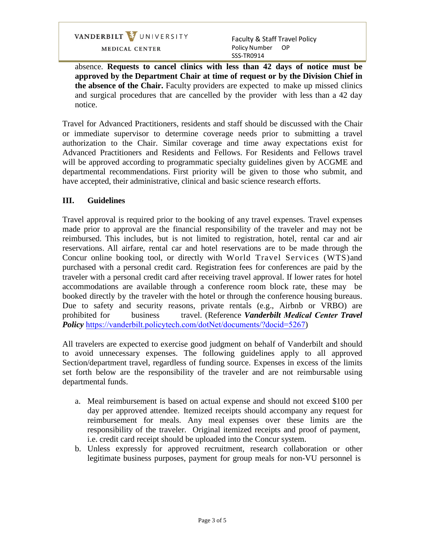VANDERBILT VUNIVERSITY

MEDICAL CENTER

Faculty & Staff Travel Policy Policy Number OP SSS-TR0914

absence. **Requests to cancel clinics with less than 42 days of notice must be approved by the Department Chair at time of request or by the Division Chief in the absence of the Chair.** Faculty providers are expected to make up missed clinics and surgical procedures that are cancelled by the provider with less than a 42 day notice.

Travel for Advanced Practitioners, residents and staff should be discussed with the Chair or immediate supervisor to determine coverage needs prior to submitting a travel authorization to the Chair. Similar coverage and time away expectations exist for Advanced Practitioners and Residents and Fellows. For Residents and Fellows travel will be approved according to programmatic specialty guidelines given by ACGME and departmental recommendations. First priority will be given to those who submit, and have accepted, their administrative, clinical and basic science research efforts.

## **III. Guidelines**

Travel approval is required prior to the booking of any travel expenses. Travel expenses made prior to approval are the financial responsibility of the traveler and may not be reimbursed. This includes, but is not limited to registration, hotel, rental car and air reservations. All airfare, rental car and hotel reservations are to be made through the Concur online booking tool, or directly with World Travel Services (WTS)and purchased with a personal credit card. Registration fees for conferences are paid by the traveler with a personal credit card after receiving travel approval. If lower rates for hotel accommodations are available through a conference room block rate, these may be booked directly by the traveler with the hotel or through the conference housing bureaus. Due to safety and security reasons, private rentals (e.g., Airbnb or VRBO) are prohibited for business travel. (Reference *Vanderbilt Medical Center Travel Policy* [https://vanderbilt.policytech.com/dotNet/documents/?do](https://vanderbilt.policytech.com/dotNet/documents/?docid=5267)cid=5267)

All travelers are expected to exercise good judgment on behalf of Vanderbilt and should to avoid unnecessary expenses. The following guidelines apply to all approved Section/department travel, regardless of funding source. Expenses in excess of the limits set forth below are the responsibility of the traveler and are not reimbursable using departmental funds.

- a. Meal reimbursement is based on actual expense and should not exceed \$100 per day per approved attendee. Itemized receipts should accompany any request for reimbursement for meals. Any meal expenses over these limits are the responsibility of the traveler. Original itemized receipts and proof of payment, i.e. credit card receipt should be uploaded into the Concur system.
- b. Unless expressly for approved recruitment, research collaboration or other legitimate business purposes, payment for group meals for non-VU personnel is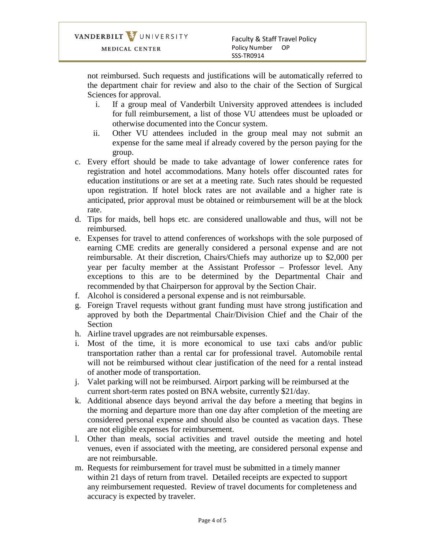not reimbursed. Such requests and justifications will be automatically referred to the department chair for review and also to the chair of the Section of Surgical Sciences for approval.

- i. If a group meal of Vanderbilt University approved attendees is included for full reimbursement, a list of those VU attendees must be uploaded or otherwise documented into the Concur system.
- ii. Other VU attendees included in the group meal may not submit an expense for the same meal if already covered by the person paying for the group.
- c. Every effort should be made to take advantage of lower conference rates for registration and hotel accommodations. Many hotels offer discounted rates for education institutions or are set at a meeting rate. Such rates should be requested upon registration. If hotel block rates are not available and a higher rate is anticipated, prior approval must be obtained or reimbursement will be at the block rate.
- d. Tips for maids, bell hops etc. are considered unallowable and thus, will not be reimbursed.
- e. Expenses for travel to attend conferences of workshops with the sole purposed of earning CME credits are generally considered a personal expense and are not reimbursable. At their discretion, Chairs/Chiefs may authorize up to \$2,000 per year per faculty member at the Assistant Professor – Professor level. Any exceptions to this are to be determined by the Departmental Chair and recommended by that Chairperson for approval by the Section Chair.
- f. Alcohol is considered a personal expense and is not reimbursable.
- g. Foreign Travel requests without grant funding must have strong justification and approved by both the Departmental Chair/Division Chief and the Chair of the Section
- h. Airline travel upgrades are not reimbursable expenses.
- i. Most of the time, it is more economical to use taxi cabs and/or public transportation rather than a rental car for professional travel. Automobile rental will not be reimbursed without clear justification of the need for a rental instead of another mode of transportation.
- j. Valet parking will not be reimbursed. Airport parking will be reimbursed at the current short-term rates posted on BNA website, currently \$21/day.
- k. Additional absence days beyond arrival the day before a meeting that begins in the morning and departure more than one day after completion of the meeting are considered personal expense and should also be counted as vacation days. These are not eligible expenses for reimbursement.
- l. Other than meals, social activities and travel outside the meeting and hotel venues, even if associated with the meeting, are considered personal expense and are not reimbursable.
- m. Requests for reimbursement for travel must be submitted in a timely manner within 21 days of return from travel. Detailed receipts are expected to support any reimbursement requested. Review of travel documents for completeness and accuracy is expected by traveler.